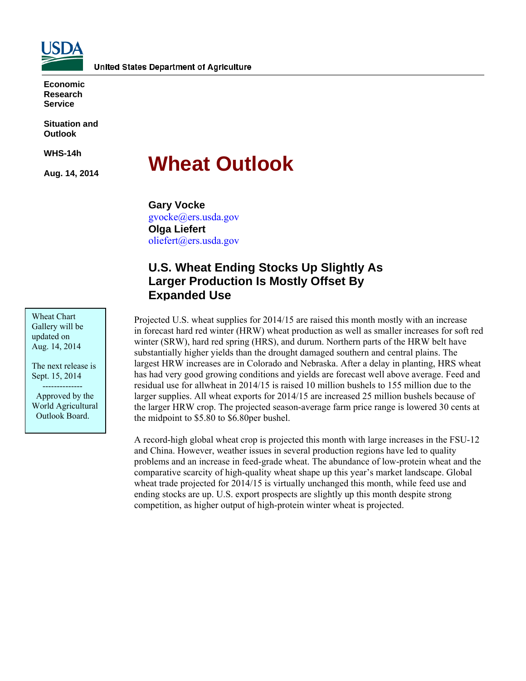

**Economic Research Service** 

**Situation and Outlook** 

**WHS-14h** 

**Aug. 14, 2014** 

# **Wheat Outlook**

**Gary Vocke**  gvocke@ers.usda.gov **Olga Liefert**  oliefert@ers.usda.gov

# **U.S. Wheat Ending Stocks Up Slightly As Larger Production Is Mostly Offset By Expanded Use**

Projected U.S. wheat supplies for 2014/15 are raised this month mostly with an increase in forecast hard red winter (HRW) wheat production as well as smaller increases for soft red winter (SRW), hard red spring (HRS), and durum. Northern parts of the HRW belt have substantially higher yields than the drought damaged southern and central plains. The largest HRW increases are in Colorado and Nebraska. After a delay in planting, HRS wheat has had very good growing conditions and yields are forecast well above average. Feed and residual use for allwheat in 2014/15 is raised 10 million bushels to 155 million due to the larger supplies. All wheat exports for 2014/15 are increased 25 million bushels because of the larger HRW crop. The projected season-average farm price range is lowered 30 cents at the midpoint to \$5.80 to \$6.80per bushel.

A record-high global wheat crop is projected this month with large increases in the FSU-12 and China. However, weather issues in several production regions have led to quality problems and an increase in feed-grade wheat. The abundance of low-protein wheat and the comparative scarcity of high-quality wheat shape up this year's market landscape. Global wheat trade projected for 2014/15 is virtually unchanged this month, while feed use and ending stocks are up. U.S. export prospects are slightly up this month despite strong competition, as higher output of high-protein winter wheat is projected.

Wheat Chart Gallery will be updated on Aug. 14, 2014

The next release is Sept. 15, 2014

 -------------- Approved by the World Agricultural Outlook Board.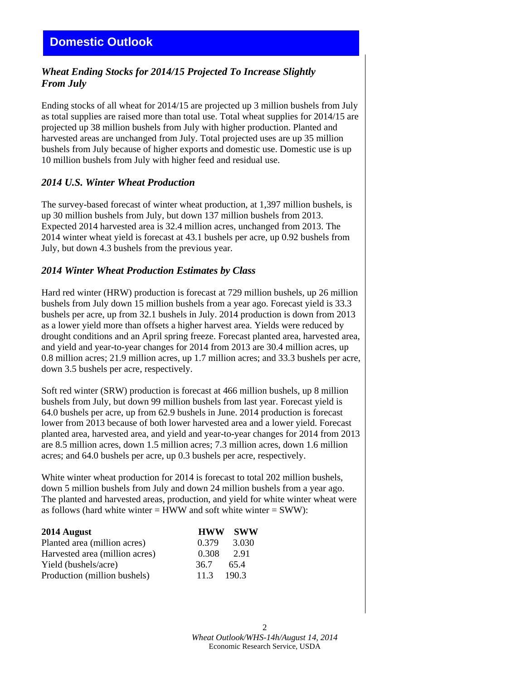# *Wheat Ending Stocks for 2014/15 Projected To Increase Slightly From July*

Ending stocks of all wheat for 2014/15 are projected up 3 million bushels from July as total supplies are raised more than total use. Total wheat supplies for 2014/15 are projected up 38 million bushels from July with higher production. Planted and harvested areas are unchanged from July. Total projected uses are up 35 million bushels from July because of higher exports and domestic use. Domestic use is up 10 million bushels from July with higher feed and residual use.

### *2014 U.S. Winter Wheat Production*

The survey-based forecast of winter wheat production, at 1,397 million bushels, is up 30 million bushels from July, but down 137 million bushels from 2013. Expected 2014 harvested area is 32.4 million acres, unchanged from 2013. The 2014 winter wheat yield is forecast at 43.1 bushels per acre, up 0.92 bushels from July, but down 4.3 bushels from the previous year.

### *2014 Winter Wheat Production Estimates by Class*

Hard red winter (HRW) production is forecast at 729 million bushels, up 26 million bushels from July down 15 million bushels from a year ago. Forecast yield is 33.3 bushels per acre, up from 32.1 bushels in July. 2014 production is down from 2013 as a lower yield more than offsets a higher harvest area. Yields were reduced by drought conditions and an April spring freeze. Forecast planted area, harvested area, and yield and year-to-year changes for 2014 from 2013 are 30.4 million acres, up 0.8 million acres; 21.9 million acres, up 1.7 million acres; and 33.3 bushels per acre, down 3.5 bushels per acre, respectively.

Soft red winter (SRW) production is forecast at 466 million bushels, up 8 million bushels from July, but down 99 million bushels from last year. Forecast yield is 64.0 bushels per acre, up from 62.9 bushels in June. 2014 production is forecast lower from 2013 because of both lower harvested area and a lower yield. Forecast planted area, harvested area, and yield and year-to-year changes for 2014 from 2013 are 8.5 million acres, down 1.5 million acres; 7.3 million acres, down 1.6 million acres; and 64.0 bushels per acre, up 0.3 bushels per acre, respectively.

White winter wheat production for 2014 is forecast to total 202 million bushels, down 5 million bushels from July and down 24 million bushels from a year ago. The planted and harvested areas, production, and yield for white winter wheat were as follows (hard white winter  $=$  HWW and soft white winter  $=$  SWW):

| 2014 August                    |       | <b>HWW SWW</b> |
|--------------------------------|-------|----------------|
| Planted area (million acres)   | 0.379 | 3.030          |
| Harvested area (million acres) | 0.308 | 2.91           |
| Yield (bushels/acre)           | 36.7  | 65.4           |
| Production (million bushels)   | 113   | 190.3          |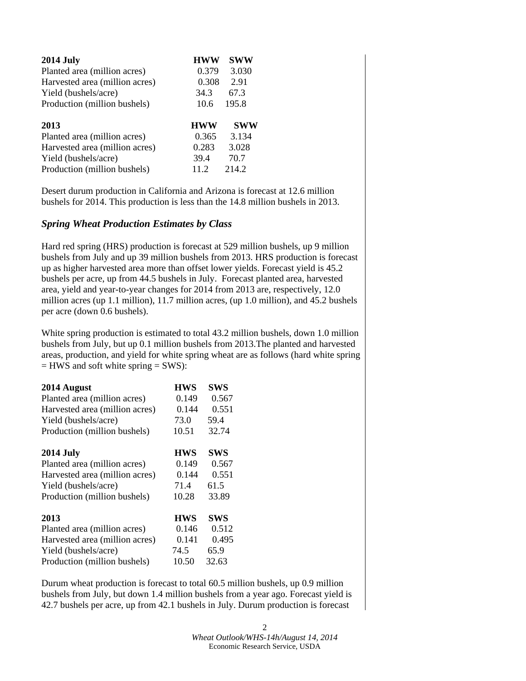| <b>2014 July</b>               | <b>HWW</b> | <b>SWW</b> |
|--------------------------------|------------|------------|
| Planted area (million acres)   | 0.379      | 3.030      |
| Harvested area (million acres) | 0.308      | 2.91       |
| Yield (bushels/acre)           | 34.3       | 67.3       |
| Production (million bushels)   | 10.6       | 195.8      |
|                                |            |            |
| 2013                           | <b>HWW</b> | <b>SWW</b> |
| Planted area (million acres)   | 0.365      | 3.134      |
| Harvested area (million acres) | 0.283      | 3.028      |
| Yield (bushels/acre)           | 39.4       | 70.7       |

Desert durum production in California and Arizona is forecast at 12.6 million bushels for 2014. This production is less than the 14.8 million bushels in 2013.

### *Spring Wheat Production Estimates by Class*

Hard red spring (HRS) production is forecast at 529 million bushels, up 9 million bushels from July and up 39 million bushels from 2013. HRS production is forecast up as higher harvested area more than offset lower yields. Forecast yield is 45.2 bushels per acre, up from 44.5 bushels in July. Forecast planted area, harvested area, yield and year-to-year changes for 2014 from 2013 are, respectively, 12.0 million acres (up 1.1 million), 11.7 million acres, (up 1.0 million), and 45.2 bushels per acre (down 0.6 bushels).

White spring production is estimated to total 43.2 million bushels, down 1.0 million bushels from July, but up 0.1 million bushels from 2013.The planted and harvested areas, production, and yield for white spring wheat are as follows (hard white spring  $=$  HWS and soft white spring  $=$  SWS):

| 2014 August                    | <b>HWS</b> | <b>SWS</b> |
|--------------------------------|------------|------------|
| Planted area (million acres)   | 0.149      | 0.567      |
| Harvested area (million acres) | 0.144      | 0.551      |
| Yield (bushels/acre)           | 73.0       | 59.4       |
| Production (million bushels)   | 10.51      | 32.74      |
| <b>2014 July</b>               | <b>HWS</b> | <b>SWS</b> |
| Planted area (million acres)   | 0.149      | 0.567      |
| Harvested area (million acres) | 0.144      | 0.551      |
| Yield (bushels/acre)           | 71.4       | 61.5       |
| Production (million bushels)   | 10.28      | 33.89      |
| 2013                           | <b>HWS</b> | <b>SWS</b> |
| Planted area (million acres)   | 0.146      | 0.512      |
| Harvested area (million acres) | 0.141      | 0.495      |
| Yield (bushels/acre)           | 74.5       | 65.9       |
| Production (million bushels)   | 10.50      | 32.63      |

Durum wheat production is forecast to total 60.5 million bushels, up 0.9 million bushels from July, but down 1.4 million bushels from a year ago. Forecast yield is 42.7 bushels per acre, up from 42.1 bushels in July. Durum production is forecast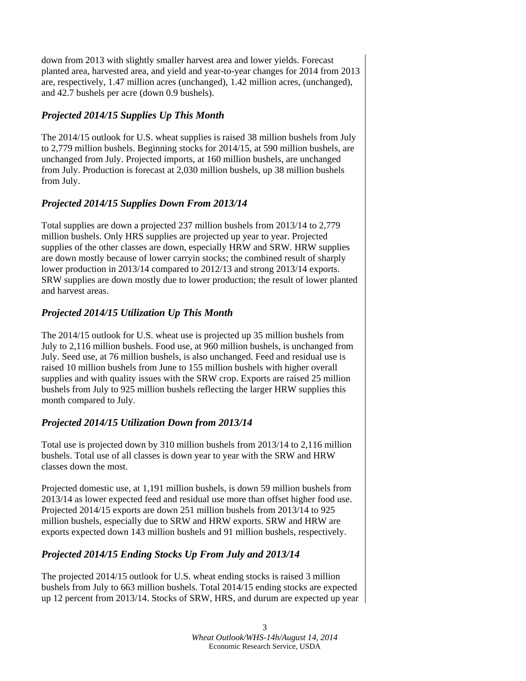down from 2013 with slightly smaller harvest area and lower yields. Forecast planted area, harvested area, and yield and year-to-year changes for 2014 from 2013 are, respectively, 1.47 million acres (unchanged), 1.42 million acres, (unchanged), and 42.7 bushels per acre (down 0.9 bushels).

# *Projected 2014/15 Supplies Up This Month*

The 2014/15 outlook for U.S. wheat supplies is raised 38 million bushels from July to 2,779 million bushels. Beginning stocks for 2014/15, at 590 million bushels, are unchanged from July. Projected imports, at 160 million bushels, are unchanged from July. Production is forecast at 2,030 million bushels, up 38 million bushels from July.

# *Projected 2014/15 Supplies Down From 2013/14*

Total supplies are down a projected 237 million bushels from 2013/14 to 2,779 million bushels. Only HRS supplies are projected up year to year. Projected supplies of the other classes are down, especially HRW and SRW. HRW supplies are down mostly because of lower carryin stocks; the combined result of sharply lower production in 2013/14 compared to 2012/13 and strong 2013/14 exports. SRW supplies are down mostly due to lower production; the result of lower planted and harvest areas.

# *Projected 2014/15 Utilization Up This Month*

The 2014/15 outlook for U.S. wheat use is projected up 35 million bushels from July to 2,116 million bushels. Food use, at 960 million bushels, is unchanged from July. Seed use, at 76 million bushels, is also unchanged. Feed and residual use is raised 10 million bushels from June to 155 million bushels with higher overall supplies and with quality issues with the SRW crop. Exports are raised 25 million bushels from July to 925 million bushels reflecting the larger HRW supplies this month compared to July.

# *Projected 2014/15 Utilization Down from 2013/14*

Total use is projected down by 310 million bushels from 2013/14 to 2,116 million bushels. Total use of all classes is down year to year with the SRW and HRW classes down the most.

Projected domestic use, at 1,191 million bushels, is down 59 million bushels from 2013/14 as lower expected feed and residual use more than offset higher food use. Projected 2014/15 exports are down 251 million bushels from 2013/14 to 925 million bushels, especially due to SRW and HRW exports. SRW and HRW are exports expected down 143 million bushels and 91 million bushels, respectively.

# *Projected 2014/15 Ending Stocks Up From July and 2013/14*

The projected 2014/15 outlook for U.S. wheat ending stocks is raised 3 million bushels from July to 663 million bushels. Total 2014/15 ending stocks are expected up 12 percent from 2013/14. Stocks of SRW, HRS, and durum are expected up year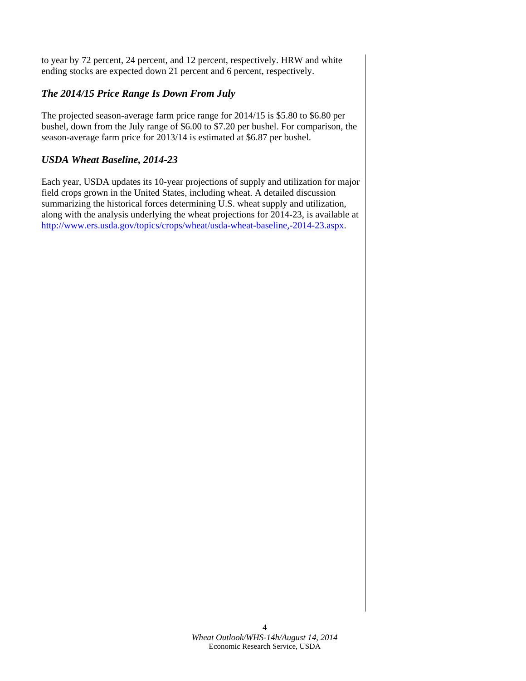to year by 72 percent, 24 percent, and 12 percent, respectively. HRW and white ending stocks are expected down 21 percent and 6 percent, respectively.

### *The 2014/15 Price Range Is Down From July*

The projected season-average farm price range for 2014/15 is \$5.80 to \$6.80 per bushel, down from the July range of \$6.00 to \$7.20 per bushel. For comparison, the season-average farm price for 2013/14 is estimated at \$6.87 per bushel.

### *USDA Wheat Baseline, 2014-23*

Each year, USDA updates its 10-year projections of supply and utilization for major field crops grown in the United States, including wheat. A detailed discussion summarizing the historical forces determining U.S. wheat supply and utilization, along with the analysis underlying the wheat projections for 2014-23, is available at http://www.ers.usda.gov/topics/crops/wheat/usda-wheat-baseline,-2014-23.aspx.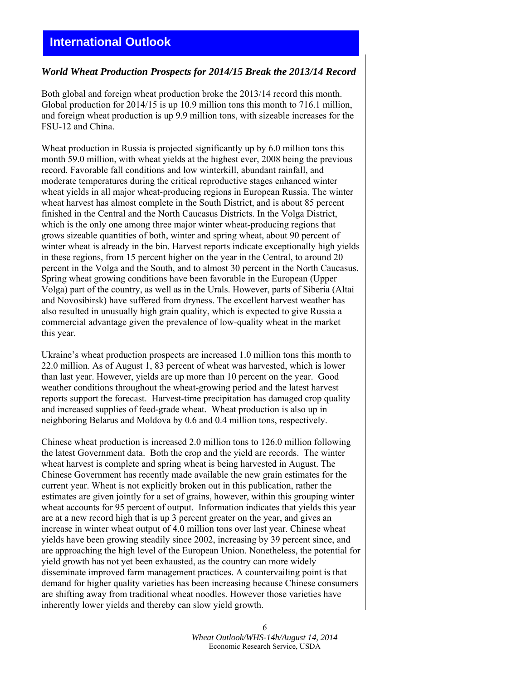# **International Outlook**

### *World Wheat Production Prospects for 2014/15 Break the 2013/14 Record*

Both global and foreign wheat production broke the 2013/14 record this month. Global production for 2014/15 is up 10.9 million tons this month to 716.1 million, and foreign wheat production is up 9.9 million tons, with sizeable increases for the FSU-12 and China.

Wheat production in Russia is projected significantly up by 6.0 million tons this month 59.0 million, with wheat yields at the highest ever, 2008 being the previous record. Favorable fall conditions and low winterkill, abundant rainfall, and moderate temperatures during the critical reproductive stages enhanced winter wheat yields in all major wheat-producing regions in European Russia. The winter wheat harvest has almost complete in the South District, and is about 85 percent finished in the Central and the North Caucasus Districts. In the Volga District, which is the only one among three major winter wheat-producing regions that grows sizeable quantities of both, winter and spring wheat, about 90 percent of winter wheat is already in the bin. Harvest reports indicate exceptionally high yields in these regions, from 15 percent higher on the year in the Central, to around 20 percent in the Volga and the South, and to almost 30 percent in the North Caucasus. Spring wheat growing conditions have been favorable in the European (Upper Volga) part of the country, as well as in the Urals. However, parts of Siberia (Altai and Novosibirsk) have suffered from dryness. The excellent harvest weather has also resulted in unusually high grain quality, which is expected to give Russia a commercial advantage given the prevalence of low-quality wheat in the market this year.

Ukraine's wheat production prospects are increased 1.0 million tons this month to 22.0 million. As of August 1, 83 percent of wheat was harvested, which is lower than last year. However, yields are up more than 10 percent on the year. Good weather conditions throughout the wheat-growing period and the latest harvest reports support the forecast. Harvest-time precipitation has damaged crop quality and increased supplies of feed-grade wheat. Wheat production is also up in neighboring Belarus and Moldova by 0.6 and 0.4 million tons, respectively.

Chinese wheat production is increased 2.0 million tons to 126.0 million following the latest Government data. Both the crop and the yield are records. The winter wheat harvest is complete and spring wheat is being harvested in August. The Chinese Government has recently made available the new grain estimates for the current year. Wheat is not explicitly broken out in this publication, rather the estimates are given jointly for a set of grains, however, within this grouping winter wheat accounts for 95 percent of output. Information indicates that yields this year are at a new record high that is up 3 percent greater on the year, and gives an increase in winter wheat output of 4.0 million tons over last year. Chinese wheat yields have been growing steadily since 2002, increasing by 39 percent since, and are approaching the high level of the European Union. Nonetheless, the potential for yield growth has not yet been exhausted, as the country can more widely disseminate improved farm management practices. A countervailing point is that demand for higher quality varieties has been increasing because Chinese consumers are shifting away from traditional wheat noodles. However those varieties have inherently lower yields and thereby can slow yield growth.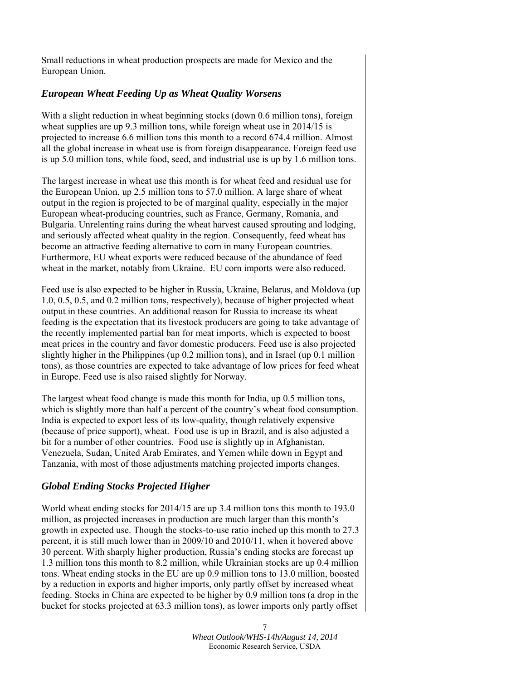Small reductions in wheat production prospects are made for Mexico and the European Union.

### *European Wheat Feeding Up as Wheat Quality Worsens*

With a slight reduction in wheat beginning stocks (down 0.6 million tons), foreign wheat supplies are up 9.3 million tons, while foreign wheat use in 2014/15 is projected to increase 6.6 million tons this month to a record 674.4 million. Almost all the global increase in wheat use is from foreign disappearance. Foreign feed use is up 5.0 million tons, while food, seed, and industrial use is up by 1.6 million tons.

The largest increase in wheat use this month is for wheat feed and residual use for the European Union, up 2.5 million tons to 57.0 million. A large share of wheat output in the region is projected to be of marginal quality, especially in the major European wheat-producing countries, such as France, Germany, Romania, and Bulgaria. Unrelenting rains during the wheat harvest caused sprouting and lodging, and seriously affected wheat quality in the region. Consequently, feed wheat has become an attractive feeding alternative to corn in many European countries. Furthermore, EU wheat exports were reduced because of the abundance of feed wheat in the market, notably from Ukraine. EU corn imports were also reduced.

Feed use is also expected to be higher in Russia, Ukraine, Belarus, and Moldova (up 1.0, 0.5, 0.5, and 0.2 million tons, respectively), because of higher projected wheat output in these countries. An additional reason for Russia to increase its wheat feeding is the expectation that its livestock producers are going to take advantage of the recently implemented partial ban for meat imports, which is expected to boost meat prices in the country and favor domestic producers. Feed use is also projected slightly higher in the Philippines (up 0.2 million tons), and in Israel (up 0.1 million tons), as those countries are expected to take advantage of low prices for feed wheat in Europe. Feed use is also raised slightly for Norway.

The largest wheat food change is made this month for India, up 0.5 million tons, which is slightly more than half a percent of the country's wheat food consumption. India is expected to export less of its low-quality, though relatively expensive (because of price support), wheat. Food use is up in Brazil, and is also adjusted a bit for a number of other countries. Food use is slightly up in Afghanistan, Venezuela, Sudan, United Arab Emirates, and Yemen while down in Egypt and Tanzania, with most of those adjustments matching projected imports changes.

# *Global Ending Stocks Projected Higher*

World wheat ending stocks for 2014/15 are up 3.4 million tons this month to 193.0 million, as projected increases in production are much larger than this month's growth in expected use. Though the stocks-to-use ratio inched up this month to 27.3 percent, it is still much lower than in 2009/10 and 2010/11, when it hovered above 30 percent. With sharply higher production, Russia's ending stocks are forecast up 1.3 million tons this month to 8.2 million, while Ukrainian stocks are up 0.4 million tons. Wheat ending stocks in the EU are up 0.9 million tons to 13.0 million, boosted by a reduction in exports and higher imports, only partly offset by increased wheat feeding. Stocks in China are expected to be higher by 0.9 million tons (a drop in the bucket for stocks projected at 63.3 million tons), as lower imports only partly offset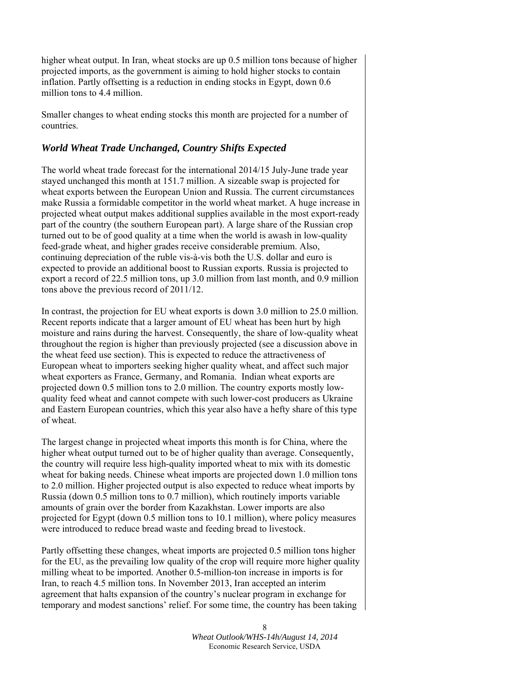higher wheat output. In Iran, wheat stocks are up 0.5 million tons because of higher projected imports, as the government is aiming to hold higher stocks to contain inflation. Partly offsetting is a reduction in ending stocks in Egypt, down 0.6 million tons to 4.4 million.

Smaller changes to wheat ending stocks this month are projected for a number of countries.

### *World Wheat Trade Unchanged, Country Shifts Expected*

The world wheat trade forecast for the international 2014/15 July-June trade year stayed unchanged this month at 151.7 million. A sizeable swap is projected for wheat exports between the European Union and Russia. The current circumstances make Russia a formidable competitor in the world wheat market. A huge increase in projected wheat output makes additional supplies available in the most export-ready part of the country (the southern European part). A large share of the Russian crop turned out to be of good quality at a time when the world is awash in low-quality feed-grade wheat, and higher grades receive considerable premium. Also, continuing depreciation of the ruble vis-à-vis both the U.S. dollar and euro is expected to provide an additional boost to Russian exports. Russia is projected to export a record of 22.5 million tons, up 3.0 million from last month, and 0.9 million tons above the previous record of 2011/12.

In contrast, the projection for EU wheat exports is down 3.0 million to 25.0 million. Recent reports indicate that a larger amount of EU wheat has been hurt by high moisture and rains during the harvest. Consequently, the share of low-quality wheat throughout the region is higher than previously projected (see a discussion above in the wheat feed use section). This is expected to reduce the attractiveness of European wheat to importers seeking higher quality wheat, and affect such major wheat exporters as France, Germany, and Romania. Indian wheat exports are projected down 0.5 million tons to 2.0 million. The country exports mostly lowquality feed wheat and cannot compete with such lower-cost producers as Ukraine and Eastern European countries, which this year also have a hefty share of this type of wheat.

The largest change in projected wheat imports this month is for China, where the higher wheat output turned out to be of higher quality than average. Consequently, the country will require less high-quality imported wheat to mix with its domestic wheat for baking needs. Chinese wheat imports are projected down 1.0 million tons to 2.0 million. Higher projected output is also expected to reduce wheat imports by Russia (down 0.5 million tons to 0.7 million), which routinely imports variable amounts of grain over the border from Kazakhstan. Lower imports are also projected for Egypt (down 0.5 million tons to 10.1 million), where policy measures were introduced to reduce bread waste and feeding bread to livestock.

Partly offsetting these changes, wheat imports are projected 0.5 million tons higher for the EU, as the prevailing low quality of the crop will require more higher quality milling wheat to be imported. Another 0.5-million-ton increase in imports is for Iran, to reach 4.5 million tons. In November 2013, Iran accepted an interim agreement that halts expansion of the country's nuclear program in exchange for temporary and modest sanctions' relief. For some time, the country has been taking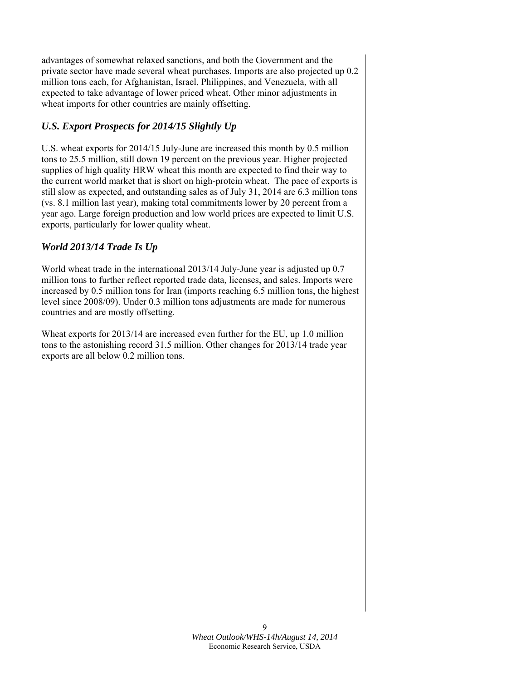advantages of somewhat relaxed sanctions, and both the Government and the private sector have made several wheat purchases. Imports are also projected up 0.2 million tons each, for Afghanistan, Israel, Philippines, and Venezuela, with all expected to take advantage of lower priced wheat. Other minor adjustments in wheat imports for other countries are mainly offsetting.

# *U.S. Export Prospects for 2014/15 Slightly Up*

U.S. wheat exports for 2014/15 July-June are increased this month by 0.5 million tons to 25.5 million, still down 19 percent on the previous year. Higher projected supplies of high quality HRW wheat this month are expected to find their way to the current world market that is short on high-protein wheat. The pace of exports is still slow as expected, and outstanding sales as of July 31, 2014 are 6.3 million tons (vs. 8.1 million last year), making total commitments lower by 20 percent from a year ago. Large foreign production and low world prices are expected to limit U.S. exports, particularly for lower quality wheat.

# *World 2013/14 Trade Is Up*

World wheat trade in the international 2013/14 July-June year is adjusted up 0.7 million tons to further reflect reported trade data, licenses, and sales. Imports were increased by 0.5 million tons for Iran (imports reaching 6.5 million tons, the highest level since 2008/09). Under 0.3 million tons adjustments are made for numerous countries and are mostly offsetting.

Wheat exports for 2013/14 are increased even further for the EU, up 1.0 million tons to the astonishing record 31.5 million. Other changes for 2013/14 trade year exports are all below 0.2 million tons.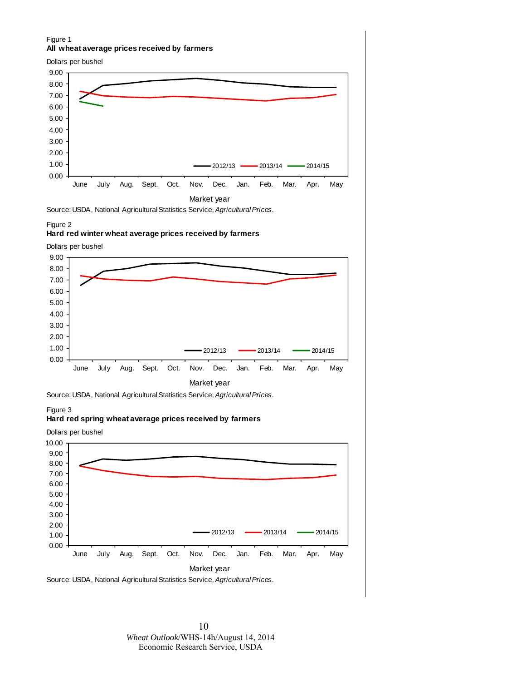### Figure 1 **All wheat average prices received by farmers**

Dollars per bushel



#### Figure 2

#### **Hard red winter wheat average prices received by farmers**

Dollars per bushel





#### Figure 3

#### **Hard red spring wheat average prices received by farmers**

0.00 1.00 2.00 3.00 4.00 5.00 6.00 7.00 8.00 9.00 10.00 June July Aug. Sept. Oct. Nov. Dec. Jan. Feb. Mar. Apr. May Market year 2012/13 - 2013/14 - 2014/15 Source: USDA, National Agricultural Statistics Service, *Agricultural Prices*. Dollars per bushel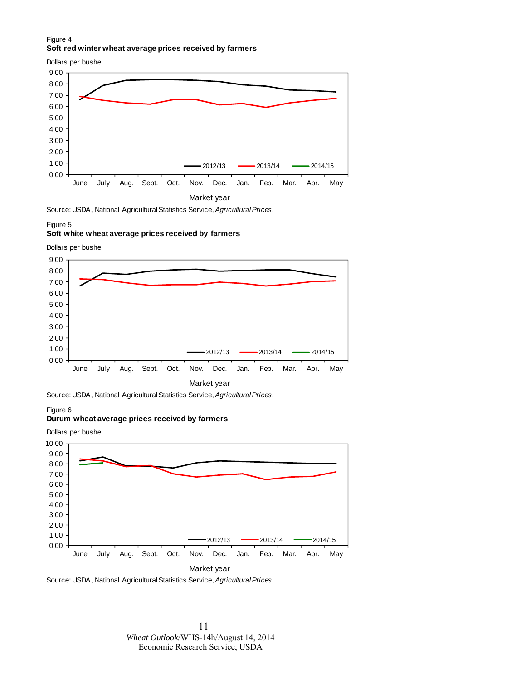### Figure 4 **Soft red winter wheat average prices received by farmers**

Dollars per bushel



Source: USDA, National Agricultural Statistics Service, *Agricultural Prices*.

#### Figure 5

#### **Soft white wheat average prices received by farmers**

Dollars per bushel





#### Figure 6

#### **Durum wheat average prices received by farmers**

0.00 1.00 2.00 3.00 4.00 5.00 6.00 7.00 8.00 9.00 10.00 June July Aug. Sept. Oct. Nov. Dec. Jan. Feb. Mar. Apr. May Market year 2012/13 **- 2013/14** - 2014/15 Dollars per bushel

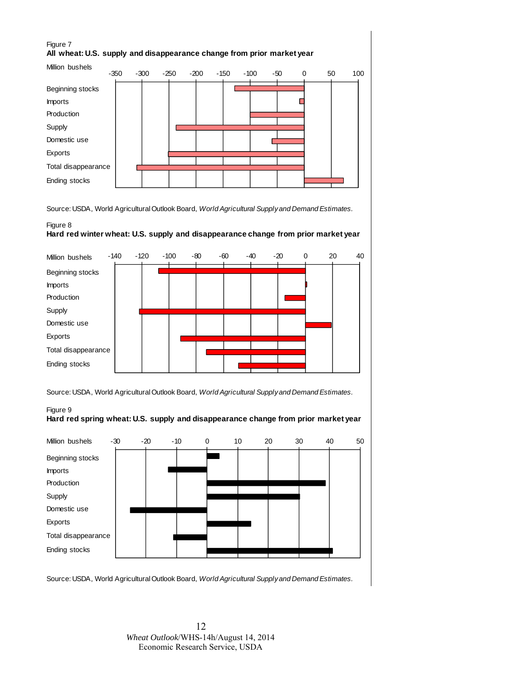### Figure 7 **All wheat: U.S. supply and disappearance change from prior market year**



Source: USDA, World Agricultural Outlook Board, *World Agricultural Supply and Demand Estimates.*

### Figure 8 **Hard red winter wheat: U.S. supply and disappearance change from prior market year**



Source: USDA, World Agricultural Outlook Board, *World Agricultural Supply and Demand Estimates.*



Figure 9 **Hard red spring wheat: U.S. supply and disappearance change from prior market year**

Source: USDA, World Agricultural Outlook Board, *World Agricultural Supply and Demand Estimates.*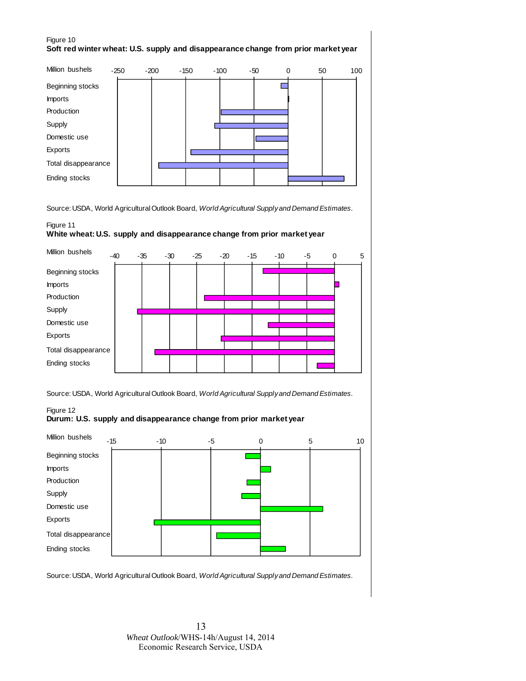### Figure 10 **Soft red winter wheat: U.S. supply and disappearance change from prior market year**



Source: USDA, World Agricultural Outlook Board, *World Agricultural Supply and Demand Estimates.*

### Figure 11 **White wheat: U.S. supply and disappearance change from prior market year**



Source: USDA, World Agricultural Outlook Board, *World Agricultural Supply and Demand Estimates.*

Figure 12





Source: USDA, World Agricultural Outlook Board, *World Agricultural Supply and Demand Estimates.*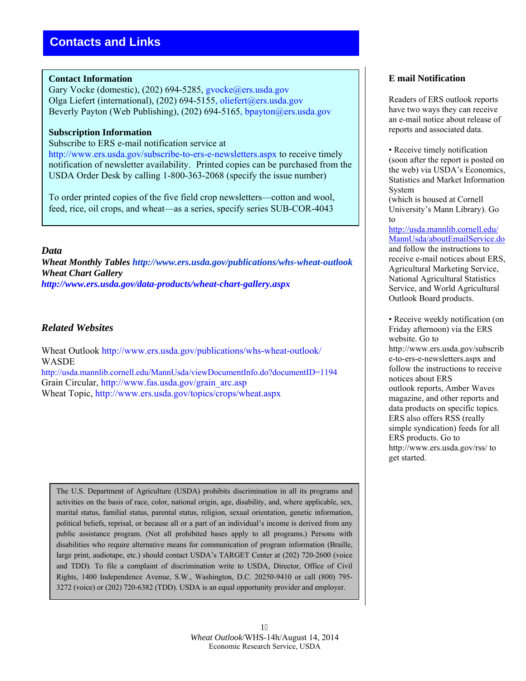### **Contact Information**

Gary Vocke (domestic), (202) 694-5285, gvocke@ers.usda.gov Olga Liefert (international), (202) 694-5155, oliefert@ers.usda.gov Beverly Payton (Web Publishing), (202) 694-5165, bpayton@ers.usda.gov

### **Subscription Information**

Subscribe to ERS e-mail notification service at

http://www.ers.usda.gov/subscribe-to-ers-e-newsletters.aspx to receive timely notification of newsletter availability. Printed copies can be purchased from the USDA Order Desk by calling 1-800-363-2068 (specify the issue number)

To order printed copies of the five field crop newsletters—cotton and wool, feed, rice, oil crops, and wheat—as a series, specify series SUB-COR-4043

### *Data*

*Wheat Monthly Tables http://www.ers.usda.gov/publications/whs-wheat-outlook Wheat Chart Gallery http://www.ers.usda.gov/data-products/wheat-chart-gallery.aspx* 

### *Related Websites*

Wheat Outlook http://www.ers.usda.gov/publications/whs-wheat-outlook/ WASDE http://usda.mannlib.cornell.edu/MannUsda/viewDocumentInfo.do?documentID=1194

Grain Circular, http://www.fas.usda.gov/grain\_arc.asp

Wheat Topic, http://www.ers.usda.gov/topics/crops/wheat.aspx

The U.S. Department of Agriculture (USDA) prohibits discrimination in all its programs and activities on the basis of race, color, national origin, age, disability, and, where applicable, sex, marital status, familial status, parental status, religion, sexual orientation, genetic information, political beliefs, reprisal, or because all or a part of an individual's income is derived from any public assistance program. (Not all prohibited bases apply to all programs.) Persons with disabilities who require alternative means for communication of program information (Braille, large print, audiotape, etc.) should contact USDA's TARGET Center at (202) 720-2600 (voice and TDD). To file a complaint of discrimination write to USDA, Director, Office of Civil Rights, 1400 Independence Avenue, S.W., Washington, D.C. 20250-9410 or call (800) 795- 3272 (voice) or (202) 720-6382 (TDD). USDA is an equal opportunity provider and employer.

### **E mail Notification**

Readers of ERS outlook reports have two ways they can receive an e-mail notice about release of reports and associated data.

• Receive timely notification (soon after the report is posted on the web) via USDA's Economics, Statistics and Market Information System

(which is housed at Cornell University's Mann Library). Go to

http://usda.mannlib.cornell.edu/ MannUsda/aboutEmailService.do and follow the instructions to receive e-mail notices about ERS, Agricultural Marketing Service, National Agricultural Statistics Service, and World Agricultural Outlook Board products.

• Receive weekly notification (on Friday afternoon) via the ERS website. Go to http://www.ers.usda.gov/subscrib e-to-ers-e-newsletters.aspx and follow the instructions to receive notices about ERS outlook reports, Amber Waves magazine, and other reports and data products on specific topics. ERS also offers RSS (really simple syndication) feeds for all ERS products. Go to http://www.ers.usda.gov/rss/ to get started.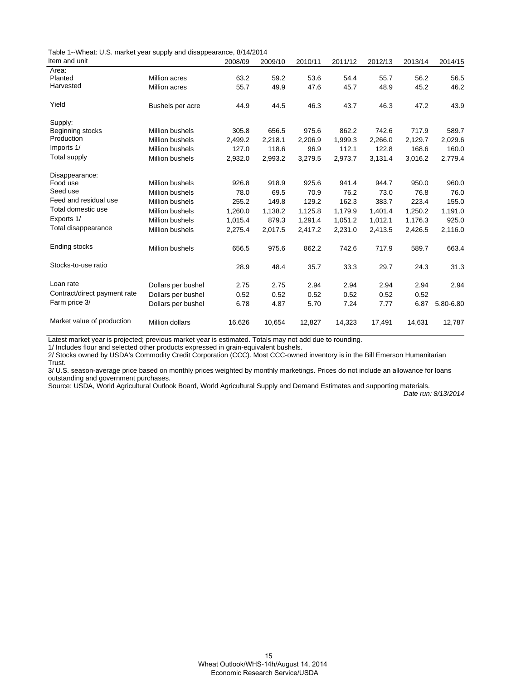Table 1--Wheat: U.S. market year supply and disappearance, 8/14/2014

| Item and unit                |                        | 2008/09 | 2009/10 | 2010/11 | 2011/12 | 2012/13 | 2013/14 | 2014/15   |
|------------------------------|------------------------|---------|---------|---------|---------|---------|---------|-----------|
| Area:                        |                        |         |         |         |         |         |         |           |
| Planted                      | Million acres          | 63.2    | 59.2    | 53.6    | 54.4    | 55.7    | 56.2    | 56.5      |
| Harvested                    | Million acres          | 55.7    | 49.9    | 47.6    | 45.7    | 48.9    | 45.2    | 46.2      |
| Yield                        | Bushels per acre       | 44.9    | 44.5    | 46.3    | 43.7    | 46.3    | 47.2    | 43.9      |
| Supply:                      |                        |         |         |         |         |         |         |           |
| Beginning stocks             | <b>Million bushels</b> | 305.8   | 656.5   | 975.6   | 862.2   | 742.6   | 717.9   | 589.7     |
| Production                   | <b>Million bushels</b> | 2,499.2 | 2,218.1 | 2,206.9 | 1,999.3 | 2,266.0 | 2,129.7 | 2,029.6   |
| Imports 1/                   | <b>Million bushels</b> | 127.0   | 118.6   | 96.9    | 112.1   | 122.8   | 168.6   | 160.0     |
| Total supply                 | <b>Million bushels</b> | 2,932.0 | 2,993.2 | 3,279.5 | 2,973.7 | 3,131.4 | 3,016.2 | 2,779.4   |
| Disappearance:               |                        |         |         |         |         |         |         |           |
| Food use                     | <b>Million bushels</b> | 926.8   | 918.9   | 925.6   | 941.4   | 944.7   | 950.0   | 960.0     |
| Seed use                     | <b>Million bushels</b> | 78.0    | 69.5    | 70.9    | 76.2    | 73.0    | 76.8    | 76.0      |
| Feed and residual use        | <b>Million bushels</b> | 255.2   | 149.8   | 129.2   | 162.3   | 383.7   | 223.4   | 155.0     |
| Total domestic use           | <b>Million bushels</b> | 1,260.0 | 1,138.2 | 1,125.8 | 1,179.9 | 1,401.4 | 1,250.2 | 1,191.0   |
| Exports 1/                   | <b>Million bushels</b> | 1,015.4 | 879.3   | 1,291.4 | 1,051.2 | 1,012.1 | 1,176.3 | 925.0     |
| Total disappearance          | Million bushels        | 2,275.4 | 2,017.5 | 2,417.2 | 2,231.0 | 2,413.5 | 2,426.5 | 2,116.0   |
| Ending stocks                | <b>Million bushels</b> | 656.5   | 975.6   | 862.2   | 742.6   | 717.9   | 589.7   | 663.4     |
| Stocks-to-use ratio          |                        | 28.9    | 48.4    | 35.7    | 33.3    | 29.7    | 24.3    | 31.3      |
| Loan rate                    | Dollars per bushel     | 2.75    | 2.75    | 2.94    | 2.94    | 2.94    | 2.94    | 2.94      |
| Contract/direct payment rate | Dollars per bushel     | 0.52    | 0.52    | 0.52    | 0.52    | 0.52    | 0.52    |           |
| Farm price 3/                | Dollars per bushel     | 6.78    | 4.87    | 5.70    | 7.24    | 7.77    | 6.87    | 5.80-6.80 |
| Market value of production   | Million dollars        | 16,626  | 10,654  | 12,827  | 14,323  | 17,491  | 14.631  | 12,787    |

Latest market year is projected; previous market year is estimated. Totals may not add due to rounding.

1/ Includes flour and selected other products expressed in grain-equivalent bushels.

2/ Stocks owned by USDA's Commodity Credit Corporation (CCC). Most CCC-owned inventory is in the Bill Emerson Humanitarian Trust.

3/ U.S. season-average price based on monthly prices weighted by monthly marketings. Prices do not include an allowance for loans outstanding and government purchases.

Source: USDA, World Agricultural Outlook Board, World Agricultural Supply and Demand Estimates and supporting materials.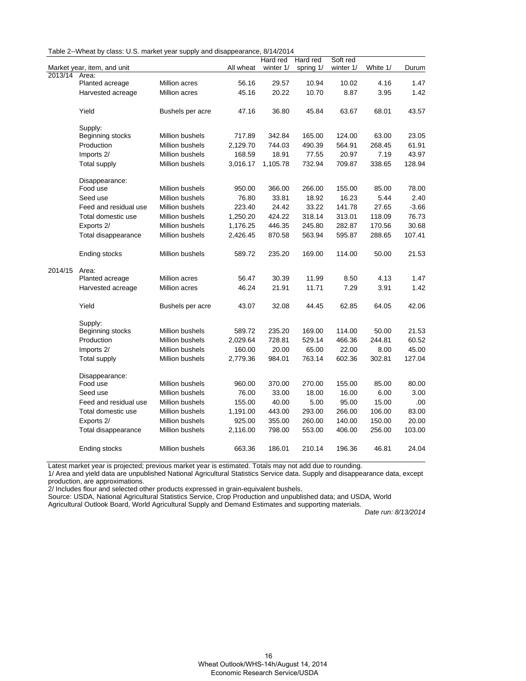| Table 2--Wheat by class: U.S. market year supply and disappearance, 8/14/2014 |  |  |  |  |
|-------------------------------------------------------------------------------|--|--|--|--|
|-------------------------------------------------------------------------------|--|--|--|--|

|         |                             |                        |           | Hard red  | Hard red  | Soft red  |          |         |
|---------|-----------------------------|------------------------|-----------|-----------|-----------|-----------|----------|---------|
|         | Market year, item, and unit |                        | All wheat | winter 1/ | spring 1/ | winter 1/ | White 1/ | Durum   |
| 2013/14 | Area:                       |                        |           |           |           |           |          |         |
|         | Planted acreage             | Million acres          | 56.16     | 29.57     | 10.94     | 10.02     | 4.16     | 1.47    |
|         | Harvested acreage           | Million acres          | 45.16     | 20.22     | 10.70     | 8.87      | 3.95     | 1.42    |
|         | Yield                       | Bushels per acre       | 47.16     | 36.80     | 45.84     | 63.67     | 68.01    | 43.57   |
|         | Supply:                     |                        |           |           |           |           |          |         |
|         | Beginning stocks            | Million bushels        | 717.89    | 342.84    | 165.00    | 124.00    | 63.00    | 23.05   |
|         | Production                  | Million bushels        | 2,129.70  | 744.03    | 490.39    | 564.91    | 268.45   | 61.91   |
|         | Imports 2/                  | <b>Million bushels</b> | 168.59    | 18.91     | 77.55     | 20.97     | 7.19     | 43.97   |
|         | <b>Total supply</b>         | Million bushels        | 3,016.17  | 1,105.78  | 732.94    | 709.87    | 338.65   | 128.94  |
|         | Disappearance:              |                        |           |           |           |           |          |         |
|         | Food use                    | Million bushels        | 950.00    | 366.00    | 266.00    | 155.00    | 85.00    | 78.00   |
|         | Seed use                    | Million bushels        | 76.80     | 33.81     | 18.92     | 16.23     | 5.44     | 2.40    |
|         | Feed and residual use       | <b>Million bushels</b> | 223.40    | 24.42     | 33.22     | 141.78    | 27.65    | $-3.66$ |
|         | Total domestic use          | Million bushels        | 1,250.20  | 424.22    | 318.14    | 313.01    | 118.09   | 76.73   |
|         | Exports 2/                  | Million bushels        | 1,176.25  | 446.35    | 245.80    | 282.87    | 170.56   | 30.68   |
|         | Total disappearance         | Million bushels        | 2,426.45  | 870.58    | 563.94    | 595.87    | 288.65   | 107.41  |
|         | Ending stocks               | Million bushels        | 589.72    | 235.20    | 169.00    | 114.00    | 50.00    | 21.53   |
| 2014/15 | Area:                       |                        |           |           |           |           |          |         |
|         | Planted acreage             | Million acres          | 56.47     | 30.39     | 11.99     | 8.50      | 4.13     | 1.47    |
|         | Harvested acreage           | Million acres          | 46.24     | 21.91     | 11.71     | 7.29      | 3.91     | 1.42    |
|         | Yield                       | Bushels per acre       | 43.07     | 32.08     | 44.45     | 62.85     | 64.05    | 42.06   |
|         | Supply:                     |                        |           |           |           |           |          |         |
|         | Beginning stocks            | Million bushels        | 589.72    | 235.20    | 169.00    | 114.00    | 50.00    | 21.53   |
|         | Production                  | Million bushels        | 2,029.64  | 728.81    | 529.14    | 466.36    | 244.81   | 60.52   |
|         | Imports 2/                  | Million bushels        | 160.00    | 20.00     | 65.00     | 22.00     | 8.00     | 45.00   |
|         | <b>Total supply</b>         | Million bushels        | 2,779.36  | 984.01    | 763.14    | 602.36    | 302.81   | 127.04  |
|         | Disappearance:              |                        |           |           |           |           |          |         |
|         | Food use                    | Million bushels        | 960.00    | 370.00    | 270.00    | 155.00    | 85.00    | 80.00   |
|         | Seed use                    | <b>Million bushels</b> | 76.00     | 33.00     | 18.00     | 16.00     | 6.00     | 3.00    |
|         | Feed and residual use       | Million bushels        | 155.00    | 40.00     | 5.00      | 95.00     | 15.00    | .00     |
|         | Total domestic use          | Million bushels        | 1,191.00  | 443.00    | 293.00    | 266.00    | 106.00   | 83.00   |
|         | Exports 2/                  | Million bushels        | 925.00    | 355.00    | 260.00    | 140.00    | 150.00   | 20.00   |
|         | Total disappearance         | Million bushels        | 2,116.00  | 798.00    | 553.00    | 406.00    | 256.00   | 103.00  |
|         | Ending stocks               | Million bushels        | 663.36    | 186.01    | 210.14    | 196.36    | 46.81    | 24.04   |

Latest market year is projected; previous market year is estimated. Totals may not add due to rounding.

1/ Area and yield data are unpublished National Agricultural Statistics Service data. Supply and disappearance data, except production, are approximations.

2/ Includes flour and selected other products expressed in grain-equivalent bushels.

Source: USDA, National Agricultural Statistics Service, Crop Production and unpublished data; and USDA, World

Agricultural Outlook Board, World Agricultural Supply and Demand Estimates and supporting materials.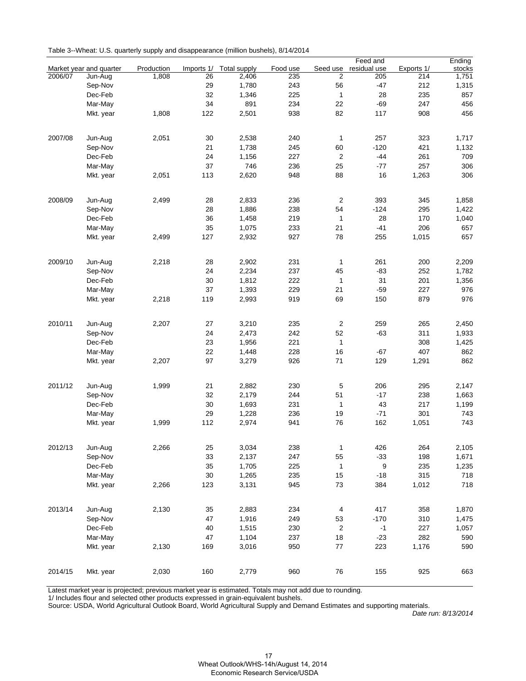| Table 3--Wheat: U.S. quarterly supply and disappearance (million bushels), 8/14/2014 |
|--------------------------------------------------------------------------------------|
|--------------------------------------------------------------------------------------|

|         |                         |            |            |                     |          |                  | Feed and     |            | Ending |
|---------|-------------------------|------------|------------|---------------------|----------|------------------|--------------|------------|--------|
|         | Market year and quarter | Production | Imports 1/ | <b>Total supply</b> | Food use | Seed use         | residual use | Exports 1/ | stocks |
| 2006/07 | Jun-Aug                 | 1,808      | 26         | 2,406               | 235      | 2                | 205          | 214        | 1,751  |
|         | Sep-Nov                 |            | 29         | 1,780               | 243      | 56               | $-47$        | 212        | 1,315  |
|         | Dec-Feb                 |            | 32         | 1,346               | 225      | $\mathbf{1}$     | 28           | 235        | 857    |
|         | Mar-May                 |            | 34         | 891                 | 234      | 22               | -69          | 247        | 456    |
|         | Mkt. year               | 1,808      | 122        | 2,501               | 938      | 82               | 117          | 908        | 456    |
|         |                         |            |            |                     |          |                  |              |            |        |
| 2007/08 | Jun-Aug                 | 2,051      | 30         | 2,538               | 240      | 1                | 257          | 323        | 1,717  |
|         | Sep-Nov                 |            | 21         | 1,738               | 245      | 60               | $-120$       | 421        | 1,132  |
|         | Dec-Feb                 |            | 24         | 1,156               | 227      | $\overline{c}$   | $-44$        | 261        | 709    |
|         | Mar-May                 |            | 37         | 746                 | 236      | 25               | $-77$        | 257        | 306    |
|         | Mkt. year               | 2,051      | 113        | 2,620               | 948      | 88               | 16           | 1,263      | 306    |
|         |                         |            |            |                     |          |                  |              |            |        |
| 2008/09 | Jun-Aug                 | 2,499      | 28         | 2,833               | 236      | $\overline{c}$   | 393          | 345        | 1,858  |
|         | Sep-Nov                 |            | 28         | 1,886               | 238      | 54               | $-124$       | 295        | 1,422  |
|         | Dec-Feb                 |            | 36         | 1,458               | 219      | $\mathbf{1}$     | 28           | 170        | 1,040  |
|         | Mar-May                 |            | 35         | 1,075               | 233      | 21               | $-41$        | 206        | 657    |
|         | Mkt. year               | 2,499      | 127        | 2,932               | 927      | 78               | 255          | 1,015      | 657    |
|         |                         |            |            |                     |          |                  |              |            |        |
| 2009/10 | Jun-Aug                 | 2,218      | 28         | 2,902               | 231      | $\mathbf{1}$     | 261          | 200        | 2,209  |
|         | Sep-Nov                 |            | 24         | 2,234               | 237      | 45               | $-83$        | 252        | 1,782  |
|         | Dec-Feb                 |            | 30         | 1,812               | 222      | $\mathbf{1}$     | 31           | 201        | 1,356  |
|         | Mar-May                 |            | 37         | 1,393               | 229      | 21               | $-59$        | 227        | 976    |
|         | Mkt. year               | 2,218      | 119        | 2,993               | 919      | 69               | 150          | 879        | 976    |
|         |                         |            |            |                     |          |                  |              |            |        |
| 2010/11 | Jun-Aug                 | 2,207      | 27         | 3,210               | 235      | $\overline{c}$   | 259          | 265        | 2,450  |
|         | Sep-Nov                 |            | 24         | 2,473               | 242      | 52               | $-63$        | 311        | 1,933  |
|         | Dec-Feb                 |            | 23         | 1,956               | 221      | $\mathbf{1}$     |              | 308        | 1,425  |
|         | Mar-May                 |            | 22         | 1,448               | 228      | 16               | -67          | 407        | 862    |
|         | Mkt. year               | 2,207      | 97         | 3,279               | 926      | 71               | 129          | 1,291      | 862    |
|         |                         |            |            |                     |          |                  |              |            |        |
| 2011/12 | Jun-Aug                 | 1,999      | 21         | 2,882               | 230      | 5                | 206          | 295        | 2,147  |
|         | Sep-Nov                 |            | 32         | 2,179               | 244      | 51               | $-17$        | 238        | 1,663  |
|         | Dec-Feb                 |            | 30         | 1,693               | 231      | $\mathbf{1}$     | 43           | 217        | 1,199  |
|         | Mar-May                 |            | 29         | 1,228               | 236      | 19               | $-71$        | 301        | 743    |
|         | Mkt. year               | 1,999      | 112        | 2,974               | 941      | 76               | 162          | 1,051      | 743    |
|         |                         |            |            |                     |          |                  |              |            |        |
| 2012/13 | Jun-Aug                 | 2,266      | 25         | 3,034               | 238      | $\mathbf{1}$     | 426          | 264        | 2,105  |
|         | Sep-Nov                 |            | 33         | 2,137               | 247      | 55               | $-33$        | 198        | 1,671  |
|         | Dec-Feb                 |            | 35         | 1,705               | 225      | $\mathbf{1}$     | 9            | 235        | 1,235  |
|         | Mar-May                 |            | 30         | 1,265               | 235      | 15               | $-18$        | 315        | 718    |
|         | Mkt. year               | 2,266      | 123        | 3,131               | 945      | 73               | 384          | 1,012      | 718    |
|         |                         |            |            |                     |          |                  |              |            |        |
| 2013/14 | Jun-Aug                 | 2,130      | 35         | 2,883               | 234      | 4                | 417          | 358        | 1,870  |
|         | Sep-Nov                 |            | 47         | 1,916               | 249      | 53               | $-170$       | 310        | 1,475  |
|         | Dec-Feb                 |            | 40         | 1,515               | 230      | $\boldsymbol{2}$ | $-1$         | 227        | 1,057  |
|         | Mar-May                 |            | 47         | 1,104               | 237      | 18               | $-23$        | 282        | 590    |
|         | Mkt. year               | 2,130      | 169        | 3,016               | 950      | 77               | 223          | 1,176      | 590    |
|         |                         |            |            |                     |          |                  |              |            |        |
| 2014/15 | Mkt. year               | 2,030      | 160        | 2,779               | 960      | 76               | 155          | 925        | 663    |

Latest market year is projected; previous market year is estimated. Totals may not add due to rounding.

1/ Includes flour and selected other products expressed in grain-equivalent bushels.

Source: USDA, World Agricultural Outlook Board, World Agricultural Supply and Demand Estimates and supporting materials.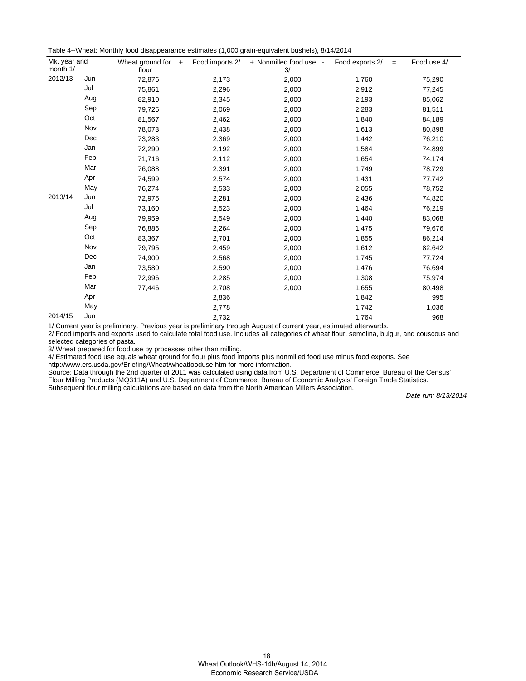Table 4--Wheat: Monthly food disappearance estimates (1,000 grain-equivalent bushels), 8/14/2014

| Mkt year and<br>month 1/ |                | Wheat ground for<br>$\ddot{\phantom{1}}$<br>flour | Food imports 2/ | + Nonmilled food use -<br>3/ | Food exports 2/<br>$=$ | Food use 4/ |
|--------------------------|----------------|---------------------------------------------------|-----------------|------------------------------|------------------------|-------------|
| 2012/13                  | Jun            | 72,876                                            | 2,173           | 2,000                        | 1,760                  | 75,290      |
|                          | Jul            | 75,861                                            | 2,296           | 2,000                        | 2,912                  | 77,245      |
|                          | Aug            | 82,910                                            | 2,345           | 2,000                        | 2,193                  | 85,062      |
|                          | Sep            | 79,725                                            | 2,069           | 2,000                        | 2,283                  | 81,511      |
|                          | Oct            | 81,567                                            | 2,462           | 2,000                        | 1,840                  | 84,189      |
|                          | Nov            | 78,073                                            | 2,438           | 2,000                        | 1,613                  | 80,898      |
|                          | Dec            | 73,283                                            | 2,369           | 2,000                        | 1,442                  | 76,210      |
|                          | Jan            | 72,290                                            | 2,192           | 2,000                        | 1,584                  | 74,899      |
|                          | Feb            | 71,716                                            | 2,112           | 2,000                        | 1,654                  | 74,174      |
|                          | Mar            | 76,088                                            | 2,391           | 2,000                        | 1,749                  | 78,729      |
|                          | Apr            | 74,599                                            | 2,574           | 2,000                        | 1,431                  | 77,742      |
|                          | May            | 76,274                                            | 2,533           | 2,000                        | 2,055                  | 78,752      |
| 2013/14                  | Jun            | 72,975                                            | 2,281           | 2,000                        | 2,436                  | 74,820      |
|                          | Jul            | 73,160                                            | 2,523           | 2,000                        | 1,464                  | 76,219      |
|                          | Aug            | 79,959                                            | 2,549           | 2,000                        | 1,440                  | 83,068      |
|                          | Sep            | 76,886                                            | 2,264           | 2,000                        | 1,475                  | 79,676      |
|                          | Oct            | 83,367                                            | 2,701           | 2,000                        | 1,855                  | 86,214      |
|                          | Nov            | 79,795                                            | 2,459           | 2,000                        | 1,612                  | 82,642      |
|                          | $\mathsf{Dec}$ | 74,900                                            | 2,568           | 2,000                        | 1,745                  | 77,724      |
|                          | Jan            | 73,580                                            | 2,590           | 2,000                        | 1,476                  | 76,694      |
|                          | Feb            | 72,996                                            | 2,285           | 2,000                        | 1,308                  | 75,974      |
|                          | Mar            | 77,446                                            | 2,708           | 2,000                        | 1,655                  | 80,498      |
|                          | Apr            |                                                   | 2,836           |                              | 1,842                  | 995         |
|                          | May            |                                                   | 2,778           |                              | 1,742                  | 1,036       |
| 2014/15                  | Jun            |                                                   | 2,732           |                              | 1,764                  | 968         |

1/ Current year is preliminary. Previous year is preliminary through August of current year, estimated afterwards.

2/ Food imports and exports used to calculate total food use. Includes all categories of wheat flour, semolina, bulgur, and couscous and selected categories of pasta.

3/ Wheat prepared for food use by processes other than milling.

4/ Estimated food use equals wheat ground for flour plus food imports plus nonmilled food use minus food exports. See http://www.ers.usda.gov/Briefing/Wheat/wheatfooduse.htm for more information.

Source: Data through the 2nd quarter of 2011 was calculated using data from U.S. Department of Commerce, Bureau of the Census' Flour Milling Products (MQ311A) and U.S. Department of Commerce, Bureau of Economic Analysis' Foreign Trade Statistics. Subsequent flour milling calculations are based on data from the North American Millers Association.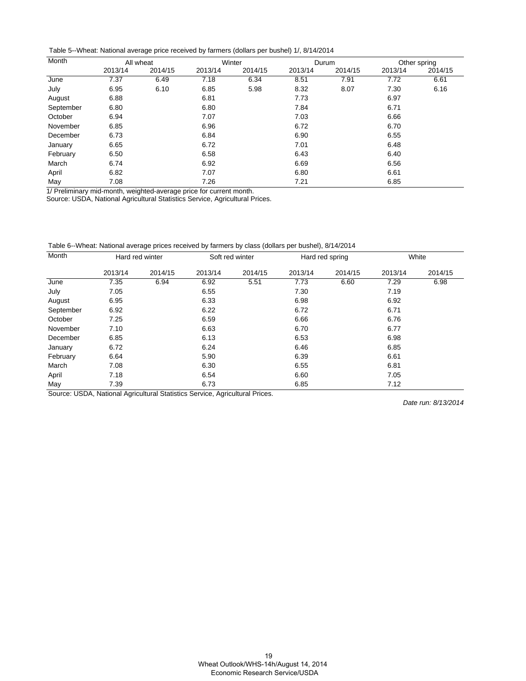Table 5--Wheat: National average price received by farmers (dollars per bushel) 1/, 8/14/2014

| Month     |         | All wheat |         | Winter  |         | Durum   |         | Other spring |
|-----------|---------|-----------|---------|---------|---------|---------|---------|--------------|
|           | 2013/14 | 2014/15   | 2013/14 | 2014/15 | 2013/14 | 2014/15 | 2013/14 | 2014/15      |
| June      | 7.37    | 6.49      | 7.18    | 6.34    | 8.51    | 7.91    | 7.72    | 6.61         |
| July      | 6.95    | 6.10      | 6.85    | 5.98    | 8.32    | 8.07    | 7.30    | 6.16         |
| August    | 6.88    |           | 6.81    |         | 7.73    |         | 6.97    |              |
| September | 6.80    |           | 6.80    |         | 7.84    |         | 6.71    |              |
| October   | 6.94    |           | 7.07    |         | 7.03    |         | 6.66    |              |
| November  | 6.85    |           | 6.96    |         | 6.72    |         | 6.70    |              |
| December  | 6.73    |           | 6.84    |         | 6.90    |         | 6.55    |              |
| January   | 6.65    |           | 6.72    |         | 7.01    |         | 6.48    |              |
| February  | 6.50    |           | 6.58    |         | 6.43    |         | 6.40    |              |
| March     | 6.74    |           | 6.92    |         | 6.69    |         | 6.56    |              |
| April     | 6.82    |           | 7.07    |         | 6.80    |         | 6.61    |              |
| May       | 7.08    |           | 7.26    |         | 7.21    |         | 6.85    |              |

1/ Preliminary mid-month, weighted-average price for current month.

Source: USDA, National Agricultural Statistics Service, Agricultural Prices.

Table 6--Wheat: National average prices received by farmers by class (dollars per bushel), 8/14/2014

| Month     |         | Hard red winter |         | Soft red winter |         | Hard red spring |         | White   |
|-----------|---------|-----------------|---------|-----------------|---------|-----------------|---------|---------|
|           | 2013/14 | 2014/15         | 2013/14 | 2014/15         | 2013/14 | 2014/15         | 2013/14 | 2014/15 |
| June      | 7.35    | 6.94            | 6.92    | 5.51            | 7.73    | 6.60            | 7.29    | 6.98    |
| July      | 7.05    |                 | 6.55    |                 | 7.30    |                 | 7.19    |         |
| August    | 6.95    |                 | 6.33    |                 | 6.98    |                 | 6.92    |         |
| September | 6.92    |                 | 6.22    |                 | 6.72    |                 | 6.71    |         |
| October   | 7.25    |                 | 6.59    |                 | 6.66    |                 | 6.76    |         |
| November  | 7.10    |                 | 6.63    |                 | 6.70    |                 | 6.77    |         |
| December  | 6.85    |                 | 6.13    |                 | 6.53    |                 | 6.98    |         |
| January   | 6.72    |                 | 6.24    |                 | 6.46    |                 | 6.85    |         |
| February  | 6.64    |                 | 5.90    |                 | 6.39    |                 | 6.61    |         |
| March     | 7.08    |                 | 6.30    |                 | 6.55    |                 | 6.81    |         |
| April     | 7.18    |                 | 6.54    |                 | 6.60    |                 | 7.05    |         |
| May       | 7.39    |                 | 6.73    |                 | 6.85    |                 | 7.12    |         |

Source: USDA, National Agricultural Statistics Service, Agricultural Prices.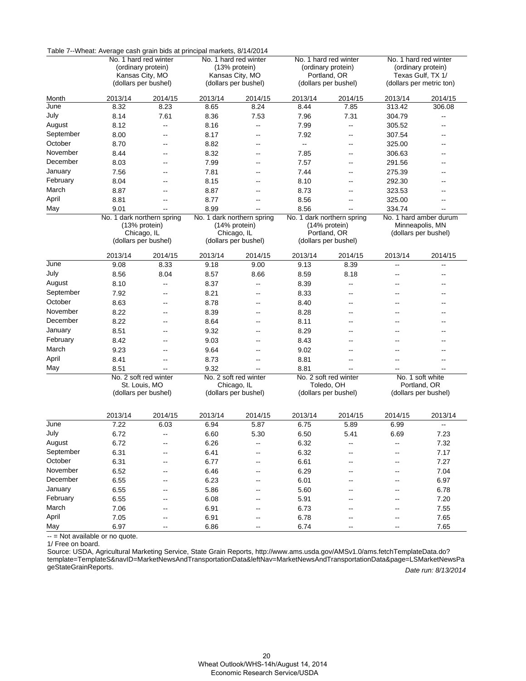|                   | Table 7--Vyneat: Average cash grain blds at principal markets, 8/14/2014 |                                         |                            |                                         |                                             |                                      |                                         |                                      |  |  |  |
|-------------------|--------------------------------------------------------------------------|-----------------------------------------|----------------------------|-----------------------------------------|---------------------------------------------|--------------------------------------|-----------------------------------------|--------------------------------------|--|--|--|
|                   |                                                                          | No. 1 hard red winter                   |                            | No. 1 hard red winter                   | No. 1 hard red winter<br>(ordinary protein) |                                      |                                         | No. 1 hard red winter                |  |  |  |
|                   |                                                                          | (ordinary protein)                      |                            | (13% protein)                           |                                             |                                      | (ordinary protein)<br>Texas Gulf, TX 1/ |                                      |  |  |  |
|                   |                                                                          | Kansas City, MO<br>(dollars per bushel) |                            | Kansas City, MO<br>(dollars per bushel) |                                             | Portland, OR<br>(dollars per bushel) |                                         | (dollars per metric ton)             |  |  |  |
|                   |                                                                          |                                         |                            |                                         |                                             |                                      |                                         |                                      |  |  |  |
| Month             | 2013/14                                                                  | 2014/15                                 | 2013/14                    | 2014/15                                 | 2013/14                                     | 2014/15                              | 2013/14                                 | 2014/15                              |  |  |  |
| June              | 8.32                                                                     | 8.23                                    | 8.65                       | 8.24                                    | 8.44                                        | 7.85                                 | 313.42                                  | 306.08                               |  |  |  |
| July              | 8.14                                                                     | 7.61                                    | 8.36                       | 7.53                                    | 7.96                                        | 7.31                                 | 304.79                                  | --                                   |  |  |  |
| August            | 8.12                                                                     | --                                      | 8.16                       | $\overline{\phantom{a}}$                | 7.99                                        | --                                   | 305.52                                  |                                      |  |  |  |
| September         | 8.00                                                                     | --                                      | 8.17                       | $\overline{\phantom{a}}$                | 7.92                                        | --                                   | 307.54                                  | --                                   |  |  |  |
| October           | 8.70                                                                     | --                                      | 8.82                       | $\overline{\phantom{a}}$                | $\overline{\phantom{a}}$                    | --                                   | 325.00                                  |                                      |  |  |  |
| November          | 8.44                                                                     | --                                      | 8.32                       | $\overline{\phantom{a}}$                | 7.85                                        | $\overline{\phantom{a}}$             | 306.63                                  | --                                   |  |  |  |
| December          | 8.03                                                                     | --                                      | 7.99                       | $\sim$ $\sim$                           | 7.57                                        | --                                   | 291.56                                  |                                      |  |  |  |
| January           | 7.56                                                                     | --                                      | 7.81                       | $\overline{\phantom{a}}$                | 7.44                                        | $\overline{\phantom{a}}$             | 275.39                                  | --                                   |  |  |  |
| February          | 8.04                                                                     | --                                      | 8.15                       | $\overline{\phantom{a}}$                | 8.10                                        | --                                   | 292.30                                  | --                                   |  |  |  |
| March             | 8.87                                                                     | --                                      | 8.87                       | --                                      | 8.73                                        | --                                   | 323.53                                  |                                      |  |  |  |
| April             | 8.81                                                                     | --                                      | 8.77                       | $\sim$ $\sim$                           | 8.56                                        | $-$                                  | 325.00                                  |                                      |  |  |  |
| May               | 9.01                                                                     | Щ,                                      | 8.99                       | $\overline{a}$                          | 8.56                                        | $-$                                  | 334.74                                  |                                      |  |  |  |
|                   |                                                                          | No. 1 dark northern spring              | No. 1 dark northern spring |                                         | No. 1 dark northern spring                  |                                      |                                         | No. 1 hard amber durum               |  |  |  |
|                   |                                                                          | (13% protein)                           |                            | (14% protein)                           |                                             | (14% protein)                        |                                         | Minneapolis, MN                      |  |  |  |
|                   |                                                                          | Chicago, IL<br>(dollars per bushel)     |                            | Chicago, IL<br>(dollars per bushel)     |                                             | Portland, OR<br>(dollars per bushel) |                                         | (dollars per bushel)                 |  |  |  |
|                   |                                                                          |                                         |                            |                                         |                                             |                                      |                                         |                                      |  |  |  |
|                   | 2013/14                                                                  | 2014/15                                 | 2013/14                    | 2014/15                                 | 2013/14                                     | 2014/15                              | 2013/14                                 | 2014/15                              |  |  |  |
| June              | 9.08                                                                     | 8.33                                    | 9.18                       | 9.00                                    | 9.13                                        | 8.39                                 | --                                      | --                                   |  |  |  |
| July              | 8.56                                                                     | 8.04                                    | 8.57                       | 8.66                                    | 8.59                                        | 8.18                                 | --                                      | --                                   |  |  |  |
| August            | 8.10                                                                     | --                                      | 8.37                       | $\overline{\phantom{a}}$                | 8.39                                        | --                                   | --                                      |                                      |  |  |  |
| September         | 7.92                                                                     | $\overline{a}$                          | 8.21                       | $\overline{\phantom{a}}$                | 8.33                                        | $\sim$                               | $\overline{a}$                          |                                      |  |  |  |
| October           | 8.63                                                                     | --                                      | 8.78                       | --                                      | 8.40                                        | --                                   | ۵.                                      |                                      |  |  |  |
| November          | 8.22                                                                     | $\overline{a}$                          | 8.39                       | $\overline{\phantom{a}}$                | 8.28                                        | $-$                                  | --                                      |                                      |  |  |  |
| December          | 8.22                                                                     | --                                      | 8.64                       | $\overline{\phantom{a}}$                | 8.11                                        | --                                   | --                                      |                                      |  |  |  |
| January           | 8.51                                                                     | --                                      | 9.32                       | $\overline{\phantom{a}}$                | 8.29                                        | --                                   | ٠.                                      |                                      |  |  |  |
| February          | 8.42                                                                     | $\overline{a}$                          | 9.03                       | $\overline{\phantom{a}}$                | 8.43                                        | $-$                                  | --                                      |                                      |  |  |  |
| March             | 9.23                                                                     | $\overline{a}$                          | 9.64                       | $\overline{\phantom{a}}$                | 9.02                                        | $\overline{\phantom{a}}$             | $\overline{a}$                          |                                      |  |  |  |
| April             | 8.41                                                                     | --                                      | 8.73                       | $\overline{\phantom{a}}$                | 8.81                                        | $\overline{\phantom{a}}$             | --                                      | --                                   |  |  |  |
| May               | 8.51                                                                     | Щ,                                      | 9.32                       |                                         | 8.81                                        |                                      |                                         |                                      |  |  |  |
|                   |                                                                          | No. 2 soft red winter                   |                            | No. 2 soft red winter                   |                                             | No. 2 soft red winter                |                                         | No. 1 soft white                     |  |  |  |
|                   |                                                                          | St. Louis, MO<br>(dollars per bushel)   |                            | Chicago, IL<br>(dollars per bushel)     |                                             | Toledo, OH<br>(dollars per bushel)   |                                         | Portland, OR<br>(dollars per bushel) |  |  |  |
|                   |                                                                          |                                         |                            |                                         |                                             |                                      |                                         |                                      |  |  |  |
|                   |                                                                          |                                         |                            |                                         |                                             |                                      |                                         |                                      |  |  |  |
|                   | 2013/14                                                                  | 2014/15                                 | 2013/14                    | 2014/15                                 | 2013/14                                     | 2014/15                              | 2014/15                                 | 2013/14                              |  |  |  |
| June              | 7.22                                                                     | 6.03                                    | 6.94                       | 5.87                                    | 6.75                                        | 5.89                                 | 6.99                                    | --                                   |  |  |  |
| July              | 6.72                                                                     | --                                      | 6.60                       | 5.30                                    | 6.50                                        | 5.41                                 | 6.69                                    | 7.23                                 |  |  |  |
| August            | 6.72                                                                     | --                                      | 6.26                       |                                         | 6.32                                        |                                      | --                                      | 7.32                                 |  |  |  |
| September         | 6.31                                                                     | --                                      | 6.41                       |                                         | 6.32                                        |                                      | --                                      | 7.17                                 |  |  |  |
| October           | 6.31                                                                     | $\overline{a}$                          | 6.77                       | $\sim$ $\sim$                           | 6.61                                        |                                      | --                                      | 7.27                                 |  |  |  |
| November          | 6.52                                                                     | --                                      | 6.46                       | --                                      | 6.29                                        |                                      | --                                      | 7.04                                 |  |  |  |
| December          | 6.55                                                                     | --                                      | 6.23                       | $\overline{\phantom{a}}$                | 6.01                                        | --                                   | --                                      | 6.97                                 |  |  |  |
| January           | 6.55                                                                     | --                                      | 5.86                       | --                                      | 5.60                                        |                                      |                                         | 6.78                                 |  |  |  |
| February<br>March | 6.55                                                                     | --                                      | 6.08                       | $\overline{\phantom{a}}$                | 5.91                                        | --                                   | --                                      | 7.20                                 |  |  |  |
| April             | 7.06                                                                     | --                                      | 6.91                       | --                                      | 6.73                                        |                                      |                                         | 7.55                                 |  |  |  |
| May               | 7.05                                                                     | --                                      | 6.91                       | $\overline{\phantom{a}}$                | 6.78                                        |                                      | --                                      | 7.65                                 |  |  |  |
|                   | 6.97                                                                     | --                                      | 6.86                       | $\overline{\phantom{m}}$                | 6.74                                        | --                                   | --                                      | 7.65                                 |  |  |  |

Table 7--Wheat: Average cash grain bids at principal markets, 8/14/2014

-- = Not available or no quote. Ĭ.

1/ Free on board.

Date run: 8/13/2014 Source: USDA, Agricultural Marketing Service, State Grain Reports, http://www.ams.usda.gov/AMSv1.0/ams.fetchTemplateData.do? [template=TemplateS&navID=MarketNewsAndTransportationData&leftNav=MarketNewsAndTransportationData&page=LSMarketNewsPa](http://www.ams.usda.gov/AMSv1.0/ams.fetchTemplateData.do?template=TemplateS&navID=MarketNewsAndTransportationData&leftNav=MarketNewsAndTransportationData&page=LSMarketNewsPageStateGrainReports) geStateGrainReports.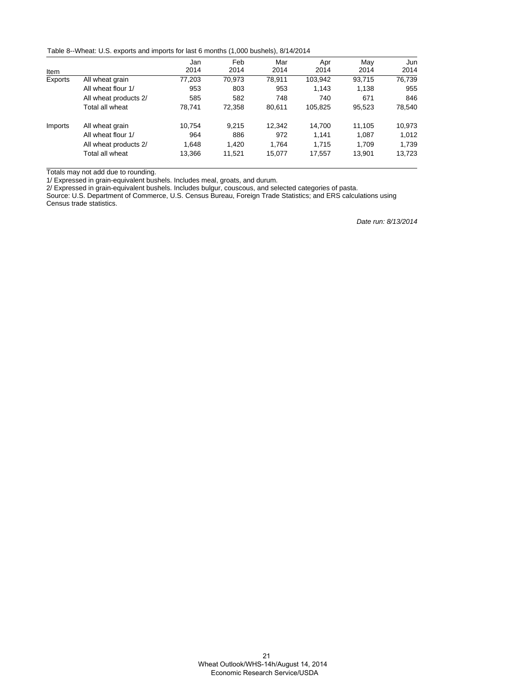Table 8--Wheat: U.S. exports and imports for last 6 months (1,000 bushels), 8/14/2014

|         |                       | Jan    | Feb    | Mar    | Apr     | Mav    | Jun    |
|---------|-----------------------|--------|--------|--------|---------|--------|--------|
| Item    |                       | 2014   | 2014   | 2014   | 2014    | 2014   | 2014   |
| Exports | All wheat grain       | 77.203 | 70.973 | 78.911 | 103,942 | 93.715 | 76,739 |
|         | All wheat flour 1/    | 953    | 803    | 953    | 1.143   | 1.138  | 955    |
|         | All wheat products 2/ | 585    | 582    | 748    | 740     | 671    | 846    |
|         | Total all wheat       | 78,741 | 72,358 | 80,611 | 105,825 | 95,523 | 78,540 |
| Imports | All wheat grain       | 10.754 | 9.215  | 12,342 | 14,700  | 11.105 | 10,973 |
|         | All wheat flour 1/    | 964    | 886    | 972    | 1.141   | 1.087  | 1,012  |
|         | All wheat products 2/ | 1.648  | 1.420  | 1.764  | 1.715   | 1.709  | 1,739  |
|         | Total all wheat       | 13,366 | 11,521 | 15,077 | 17,557  | 13.901 | 13,723 |

Totals may not add due to rounding.

1/ Expressed in grain-equivalent bushels. Includes meal, groats, and durum.

2/ Expressed in grain-equivalent bushels. Includes bulgur, couscous, and selected categories of pasta.

Source: U.S. Department of Commerce, U.S. Census Bureau, Foreign Trade Statistics; and ERS calculations using Census trade statistics.